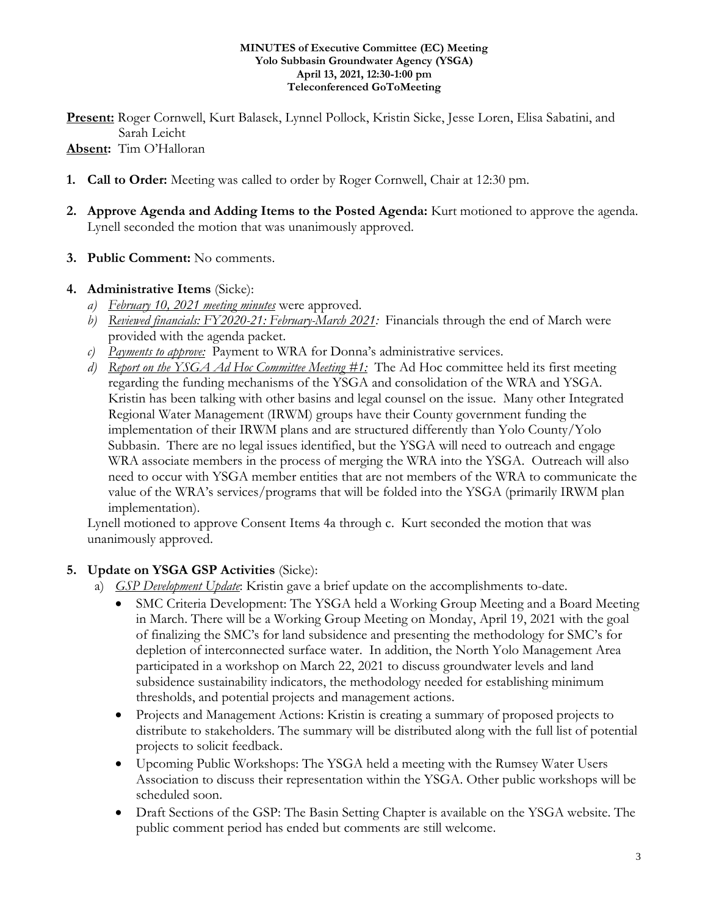#### **MINUTES of Executive Committee (EC) Meeting Yolo Subbasin Groundwater Agency (YSGA) April 13, 2021, 12:30-1:00 pm Teleconferenced GoToMeeting**

**Present:** Roger Cornwell, Kurt Balasek, Lynnel Pollock, Kristin Sicke, Jesse Loren, Elisa Sabatini, and Sarah Leicht **Absent:** Tim O'Halloran

- **1. Call to Order:** Meeting was called to order by Roger Cornwell, Chair at 12:30 pm.
- **2. Approve Agenda and Adding Items to the Posted Agenda:** Kurt motioned to approve the agenda. Lynell seconded the motion that was unanimously approved.
- **3. Public Comment:** No comments.

### **4. Administrative Items** (Sicke):

- *a) February 10, 2021 meeting minutes* were approved.
- *b) Reviewed financials: FY2020-21: February-March 2021:* Financials through the end of March were provided with the agenda packet.
- *c) Payments to approve:* Payment to WRA for Donna's administrative services.
- *d) Report on the YSGA Ad Hoc Committee Meeting #1:* The Ad Hoc committee held its first meeting regarding the funding mechanisms of the YSGA and consolidation of the WRA and YSGA. Kristin has been talking with other basins and legal counsel on the issue. Many other Integrated Regional Water Management (IRWM) groups have their County government funding the implementation of their IRWM plans and are structured differently than Yolo County/Yolo Subbasin. There are no legal issues identified, but the YSGA will need to outreach and engage WRA associate members in the process of merging the WRA into the YSGA. Outreach will also need to occur with YSGA member entities that are not members of the WRA to communicate the value of the WRA's services/programs that will be folded into the YSGA (primarily IRWM plan implementation).

Lynell motioned to approve Consent Items 4a through c. Kurt seconded the motion that was unanimously approved.

## **5. Update on YSGA GSP Activities** (Sicke):

- a) *GSP Development Update*: Kristin gave a brief update on the accomplishments to-date.
	- SMC Criteria Development: The YSGA held a Working Group Meeting and a Board Meeting in March. There will be a Working Group Meeting on Monday, April 19, 2021 with the goal of finalizing the SMC's for land subsidence and presenting the methodology for SMC's for depletion of interconnected surface water. In addition, the North Yolo Management Area participated in a workshop on March 22, 2021 to discuss groundwater levels and land subsidence sustainability indicators, the methodology needed for establishing minimum thresholds, and potential projects and management actions.
	- Projects and Management Actions: Kristin is creating a summary of proposed projects to distribute to stakeholders. The summary will be distributed along with the full list of potential projects to solicit feedback.
	- Upcoming Public Workshops: The YSGA held a meeting with the Rumsey Water Users Association to discuss their representation within the YSGA. Other public workshops will be scheduled soon.
	- Draft Sections of the GSP: The Basin Setting Chapter is available on the YSGA website. The public comment period has ended but comments are still welcome.